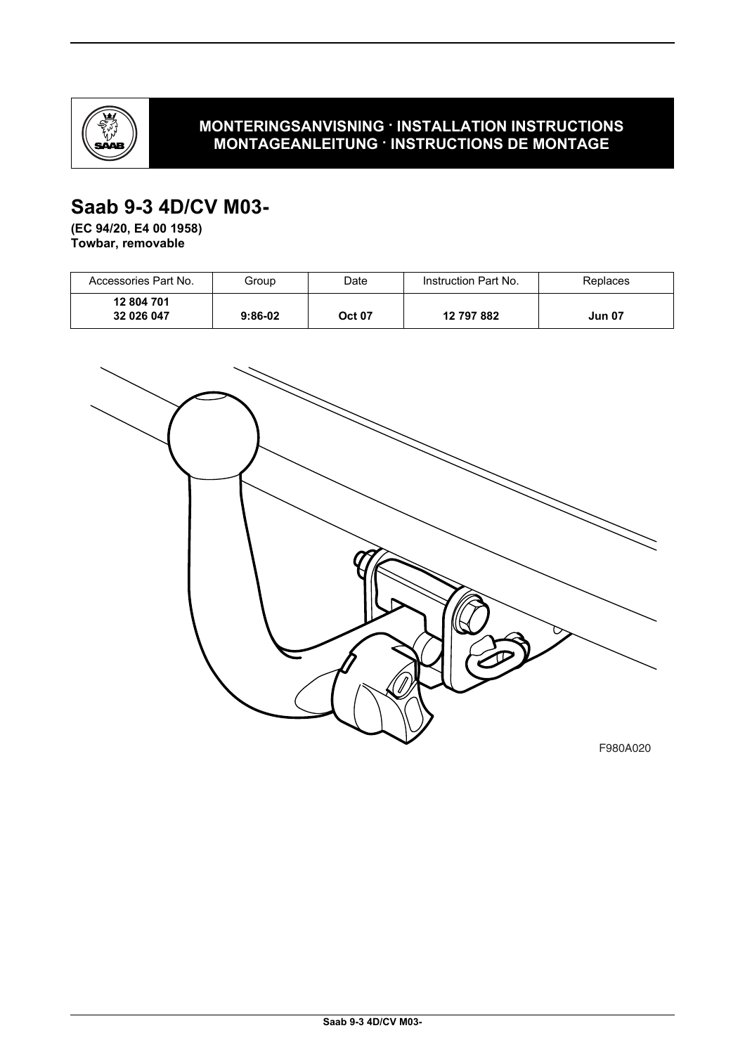

## **MONTERINGSANVISNING · INSTALLATION INSTRUCTIONS MONTAGEANLEITUNG · INSTRUCTIONS DE MONTAGE**

# **Saab 9-3 4D/CV M03-**

**(EC 94/20, E4 00 1958) Towbar, removable**

| Accessories Part No.     | Group     | Date          | Instruction Part No. | Replaces      |
|--------------------------|-----------|---------------|----------------------|---------------|
| 12 804 701<br>32 026 047 | $9:86-02$ | <b>Oct 07</b> | 12 797 882           | <b>Jun 07</b> |



F980A020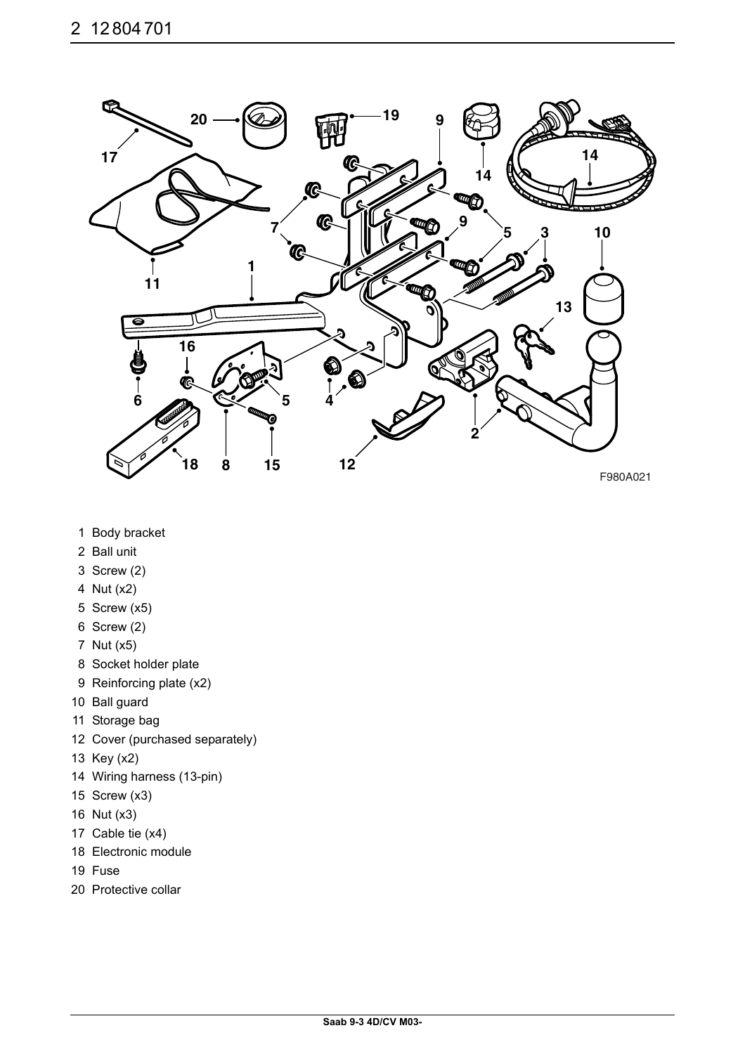

- 1 Body bracket
- 2 Ball unit
- 3 Screw (2)
- 4 Nut (x2)
- 5 Screw (x5)
- 6 Screw (2)
- 7 Nut (x5)
- 8 Socket holder plate
- 9 Reinforcing plate (x2)
- 10 Ball guard
- 11 Storage bag
- 12 Cover (purchased separately)
- 13 Key (x2)
- 14 Wiring harness (13-pin)
- 15 Screw (x3)
- 16 Nut (x3)
- 17 Cable tie (x4)
- 18 Electronic module
- 19 Fuse
- 20 Protective collar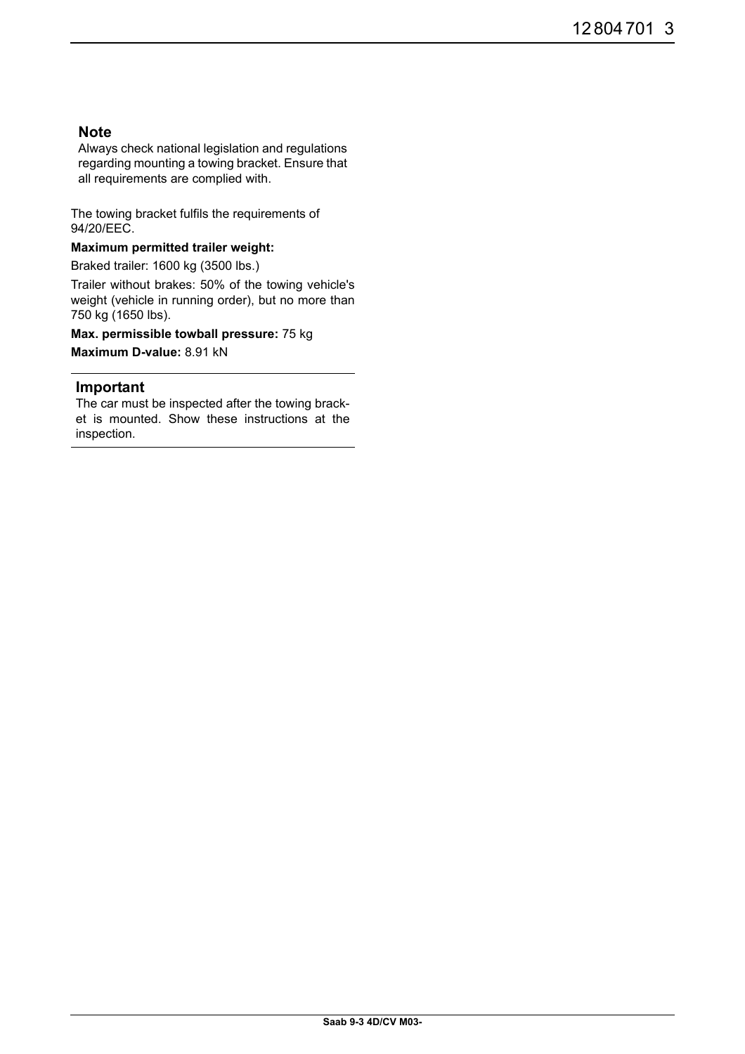## **Note**

Always check national legislation and regulations regarding mounting a towing bracket. Ensure that all requirements are complied with.

The towing bracket fulfils the requirements of 94/20/EEC.

#### **Maximum permitted trailer weight:**

Braked trailer: 1600 kg (3500 lbs.)

Trailer without brakes: 50% of the towing vehicle's weight (vehicle in running order), but no more than 750 kg (1650 lbs).

**Max. permissible towball pressure:** 75 kg

**Maximum D-value:** 8.91 kN

#### **Important**

The car must be inspected after the towing bracket is mounted. Show these instructions at the inspection.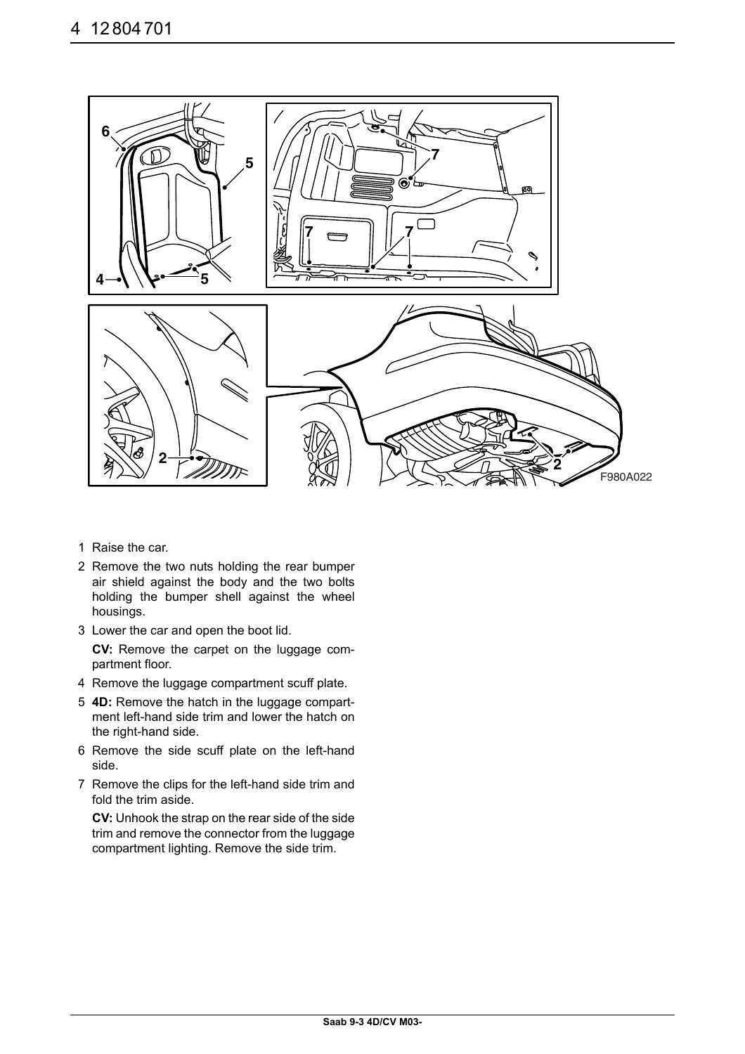

- 1 Raise the car.
- 2 Remove the two nuts holding the rear bumper air shield against the body and the two bolts holding the bumper shell against the wheel housings.
- 3 Lower the car and open the boot lid.

**CV:** Remove the carpet on the luggage compartment floor.

- 4 Remove the luggage compartment scuff plate.
- 5 **4D:** Remove the hatch in the luggage compartment left-hand side trim and lower the hatch on the right-hand side.
- 6 Remove the side scuff plate on the left-hand side.
- 7 Remove the clips for the left-hand side trim and fold the trim aside.

**CV:** Unhook the strap on the rear side of the side trim and remove the connector from the luggage compartment lighting. Remove the side trim.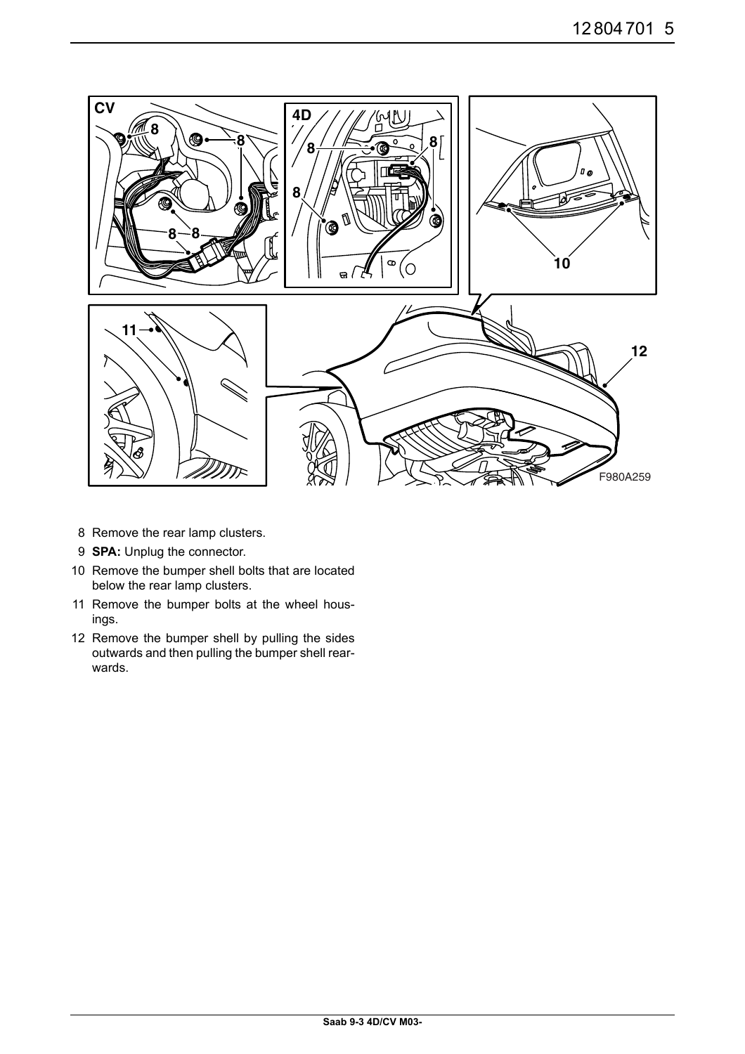

- 8 Remove the rear lamp clusters.
- 9 **SPA:** Unplug the connector.
- 10 Remove the bumper shell bolts that are located below the rear lamp clusters.
- 11 Remove the bumper bolts at the wheel housings.
- 12 Remove the bumper shell by pulling the sides outwards and then pulling the bumper shell rearwards.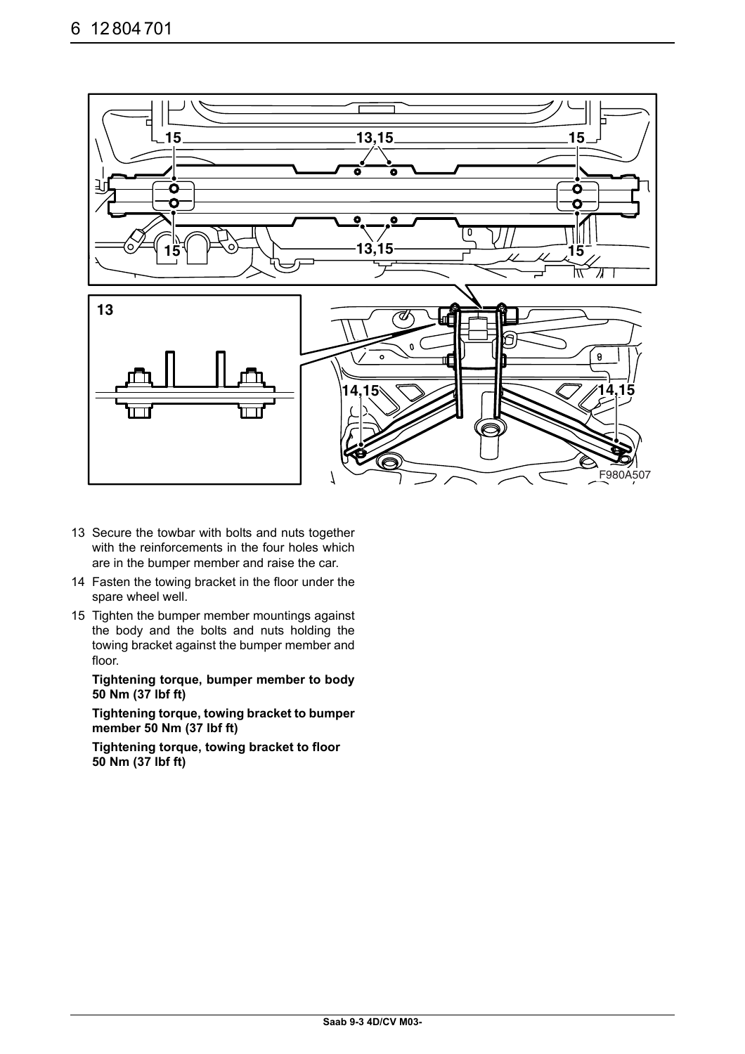

- 13 Secure the towbar with bolts and nuts together with the reinforcements in the four holes which are in the bumper member and raise the car.
- 14 Fasten the towing bracket in the floor under the spare wheel well.
- 15 Tighten the bumper member mountings against the body and the bolts and nuts holding the towing bracket against the bumper member and floor.

**Tightening torque, bumper member to body 50 Nm (37 lbf ft)**

**Tightening torque, towing bracket to bumper member 50 Nm (37 lbf ft)**

**Tightening torque, towing bracket to floor 50 Nm (37 lbf ft)**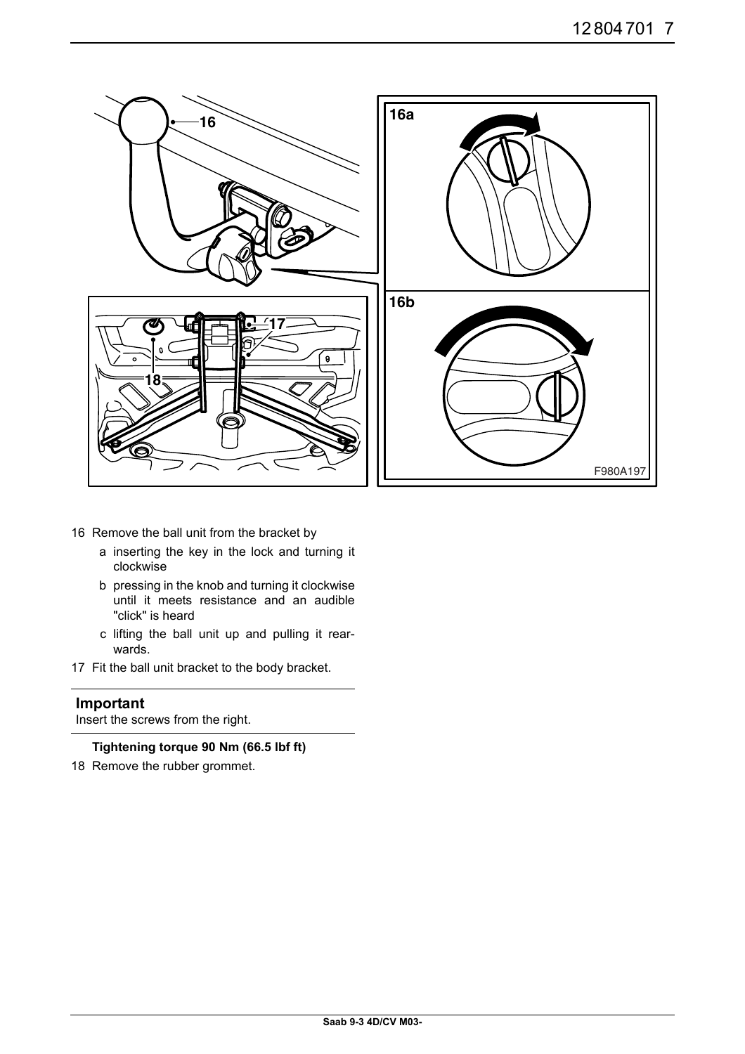

- 16 Remove the ball unit from the bracket by
	- a inserting the key in the lock and turning it clockwise
	- b pressing in the knob and turning it clockwise until it meets resistance and an audible "click" is heard
	- c lifting the ball unit up and pulling it rearwards.
- 17 Fit the ball unit bracket to the body bracket.

### **Important**

Insert the screws from the right.

**Tightening torque 90 Nm (66.5 lbf ft)**

18 Remove the rubber grommet.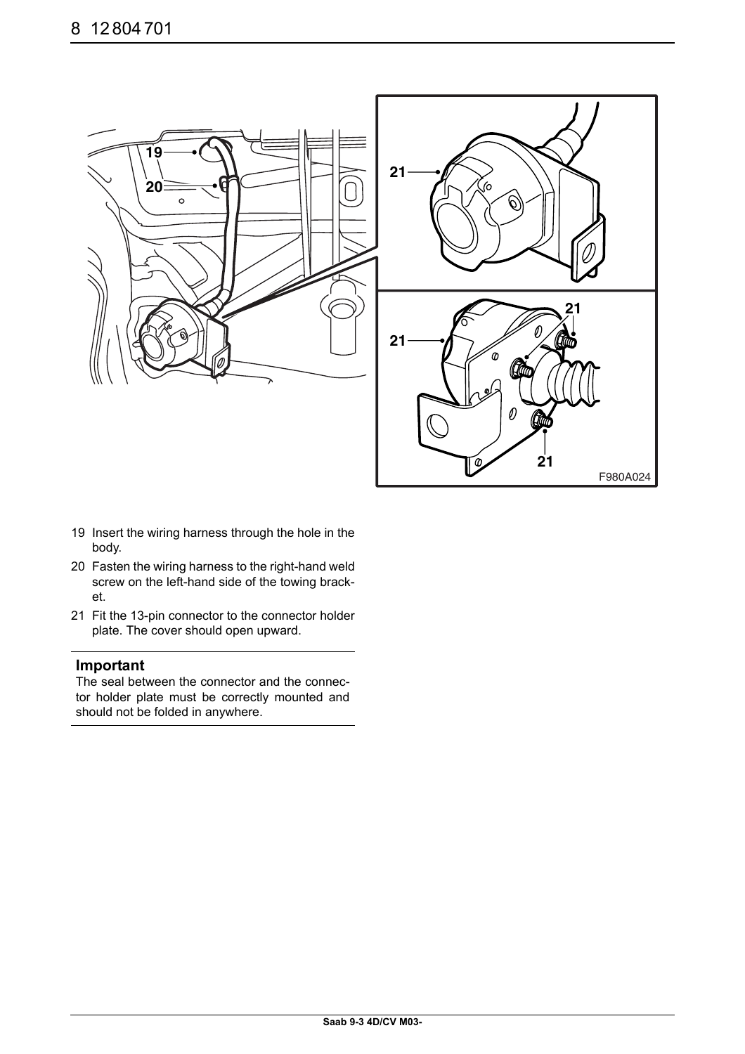

- 19 Insert the wiring harness through the hole in the body.
- 20 Fasten the wiring harness to the right-hand weld screw on the left-hand side of the towing bracket.
- 21 Fit the 13-pin connector to the connector holder plate. The cover should open upward.

#### **Important**

The seal between the connector and the connector holder plate must be correctly mounted and should not be folded in anywhere.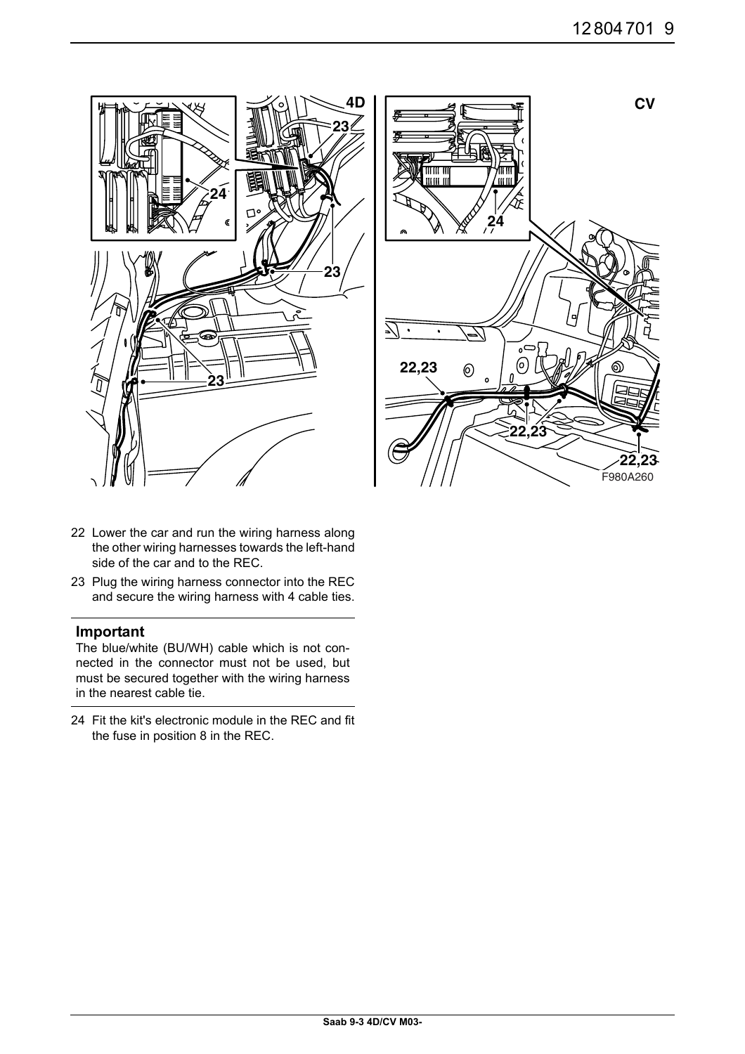



- 22 Lower the car and run the wiring harness along the other wiring harnesses towards the left-hand side of the car and to the REC.
- 23 Plug the wiring harness connector into the REC and secure the wiring harness with 4 cable ties.

#### **Important**

The blue/white (BU/WH) cable which is not connected in the connector must not be used, but must be secured together with the wiring harness in the nearest cable tie.

24 Fit the kit's electronic module in the REC and fit the fuse in position 8 in the REC.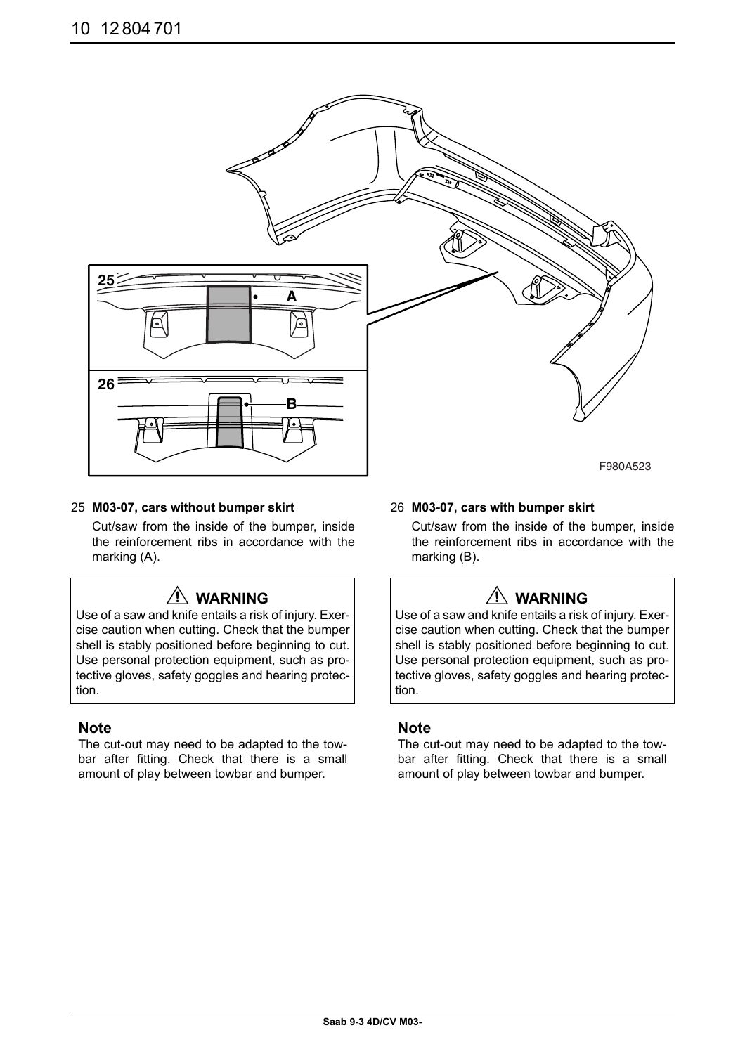

#### 25 **M03-07, cars without bumper skirt**

Cut/saw from the inside of the bumper, inside the reinforcement ribs in accordance with the marking (A).

## **WARNING**

Use of a saw and knife entails a risk of injury. Exercise caution when cutting. Check that the bumper shell is stably positioned before beginning to cut. Use personal protection equipment, such as protective gloves, safety goggles and hearing protection.

#### **Note**

The cut-out may need to be adapted to the towbar after fitting. Check that there is a small amount of play between towbar and bumper.

#### 26 **M03-07, cars with bumper skirt**

Cut/saw from the inside of the bumper, inside the reinforcement ribs in accordance with the marking (B).

## **WARNING**

Use of a saw and knife entails a risk of injury. Exercise caution when cutting. Check that the bumper shell is stably positioned before beginning to cut. Use personal protection equipment, such as protective gloves, safety goggles and hearing protection.

#### **Note**

The cut-out may need to be adapted to the towbar after fitting. Check that there is a small amount of play between towbar and bumper.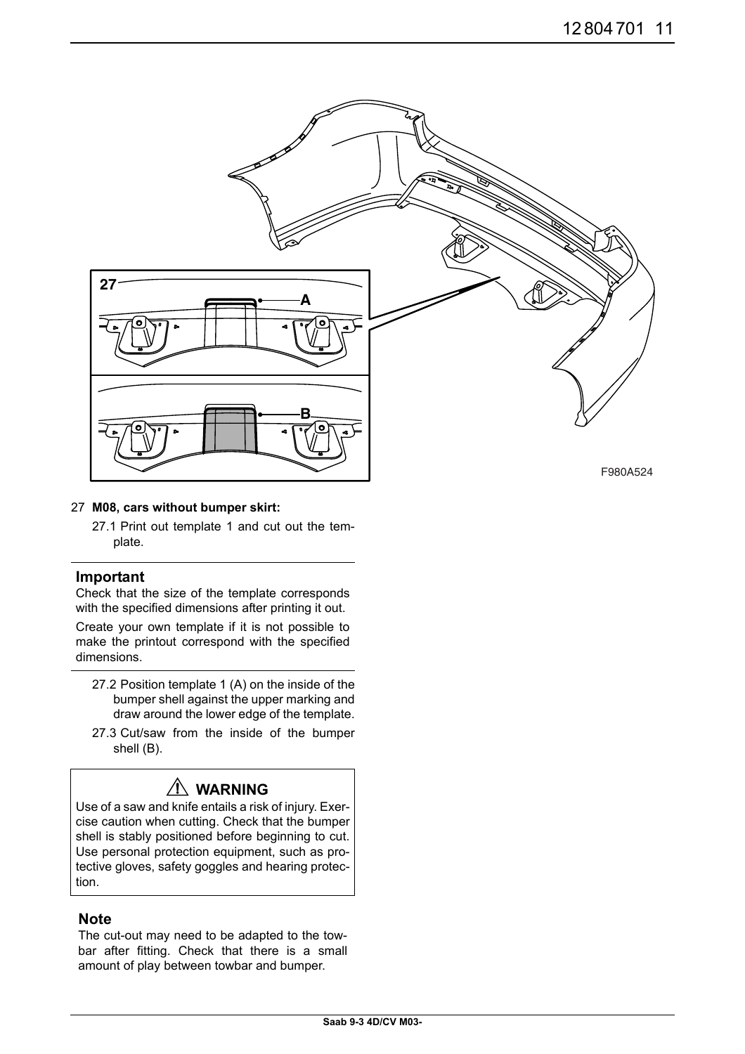

#### 27 **M08, cars without bumper skirt:**

27.1 Print out template 1 and cut out the template.

#### **Important**

Check that the size of the template corresponds with the specified dimensions after printing it out.

Create your own template if it is not possible to make the printout correspond with the specified dimensions.

- 27.2 Position template 1 (A) on the inside of the bumper shell against the upper marking and draw around the lower edge of the template.
- 27.3 Cut/saw from the inside of the bumper shell (B).

## **WARNING**

Use of a saw and knife entails a risk of injury. Exercise caution when cutting. Check that the bumper shell is stably positioned before beginning to cut. Use personal protection equipment, such as protective gloves, safety goggles and hearing protection.

### **Note**

The cut-out may need to be adapted to the towbar after fitting. Check that there is a small amount of play between towbar and bumper.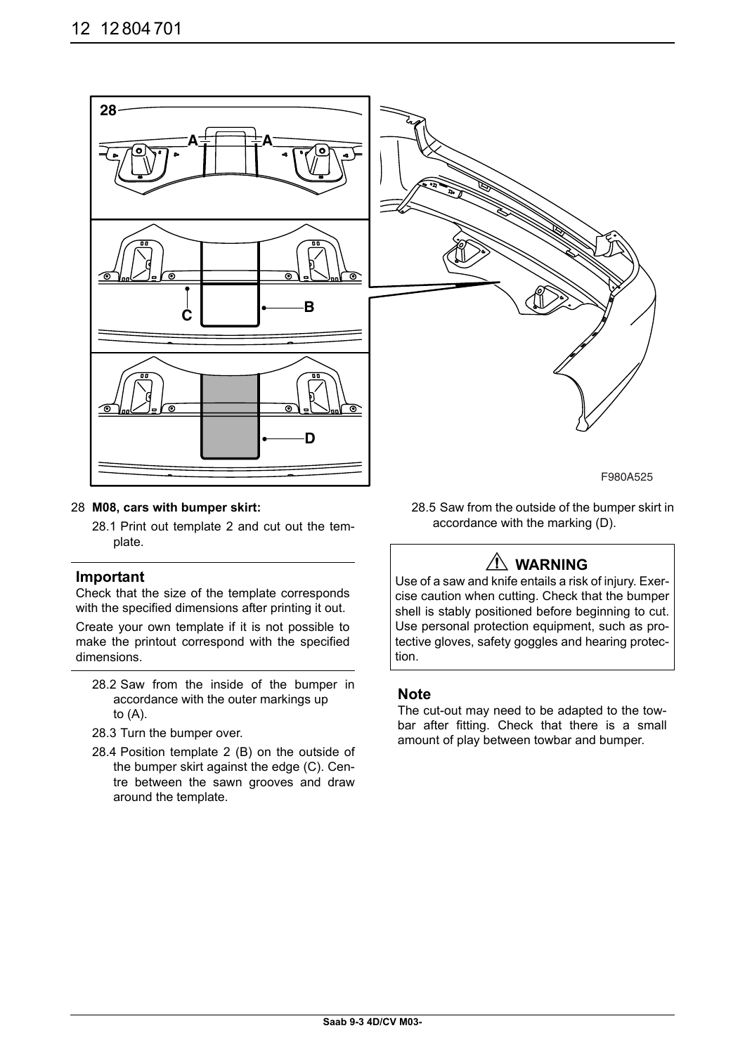

#### 28 **M08, cars with bumper skirt:**

28.1 Print out template 2 and cut out the template.

#### **Important**

Check that the size of the template corresponds with the specified dimensions after printing it out.

Create your own template if it is not possible to make the printout correspond with the specified dimensions.

- 28.2 Saw from the inside of the bumper in accordance with the outer markings up to (A).
- 28.3 Turn the bumper over.
- 28.4 Position template 2 (B) on the outside of the bumper skirt against the edge (C). Centre between the sawn grooves and draw around the template.

28.5 Saw from the outside of the bumper skirt in accordance with the marking (D).

# **WARNING**

Use of a saw and knife entails a risk of injury. Exercise caution when cutting. Check that the bumper shell is stably positioned before beginning to cut. Use personal protection equipment, such as protective gloves, safety goggles and hearing protection.

### **Note**

The cut-out may need to be adapted to the towbar after fitting. Check that there is a small amount of play between towbar and bumper.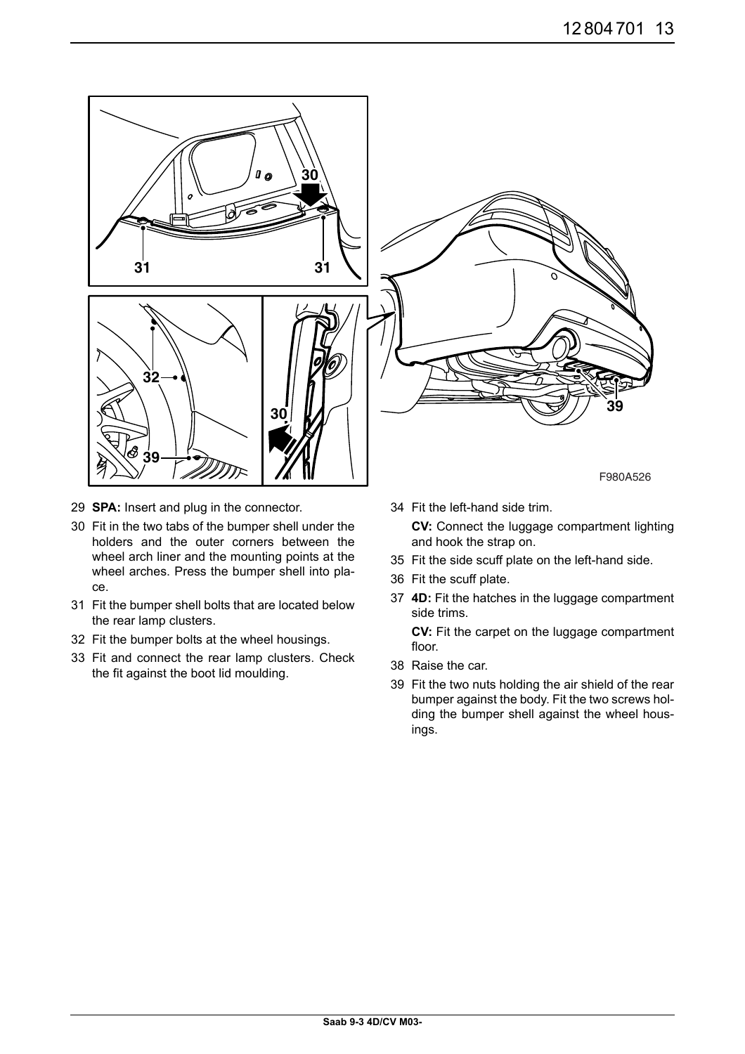

- 29 **SPA:** Insert and plug in the connector.
- 30 Fit in the two tabs of the bumper shell under the holders and the outer corners between the wheel arch liner and the mounting points at the wheel arches. Press the bumper shell into place.
- 31 Fit the bumper shell bolts that are located below the rear lamp clusters.
- 32 Fit the bumper bolts at the wheel housings.
- 33 Fit and connect the rear lamp clusters. Check the fit against the boot lid moulding.
- 34 Fit the left-hand side trim. **CV:** Connect the luggage compartment lighting
- 35 Fit the side scuff plate on the left-hand side.
- 36 Fit the scuff plate.

and hook the strap on.

37 **4D:** Fit the hatches in the luggage compartment side trims.

**CV:** Fit the carpet on the luggage compartment floor.

- 38 Raise the car.
- 39 Fit the two nuts holding the air shield of the rear bumper against the body. Fit the two screws holding the bumper shell against the wheel housings.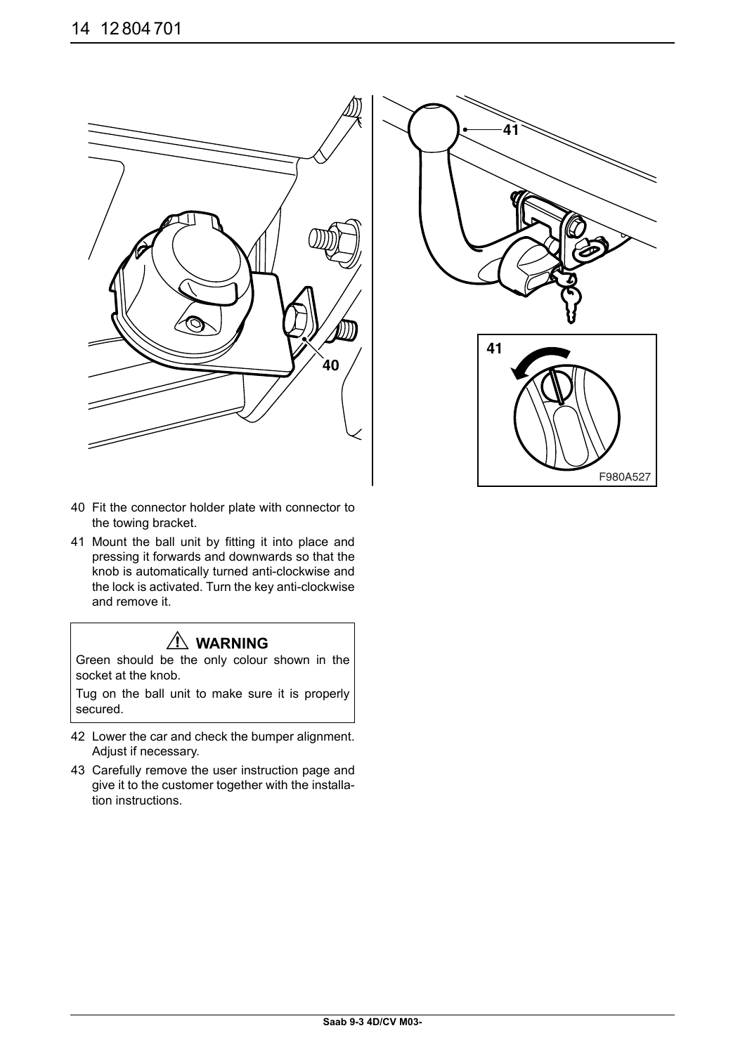



- 40 Fit the connector holder plate with connector to the towing bracket.
- 41 Mount the ball unit by fitting it into place and pressing it forwards and downwards so that the knob is automatically turned anti-clockwise and the lock is activated. Turn the key anti-clockwise and remove it.

# **WARNING**

Green should be the only colour shown in the socket at the knob.

Tug on the ball unit to make sure it is properly secured.

- 42 Lower the car and check the bumper alignment. Adjust if necessary.
- 43 Carefully remove the user instruction page and give it to the customer together with the installation instructions.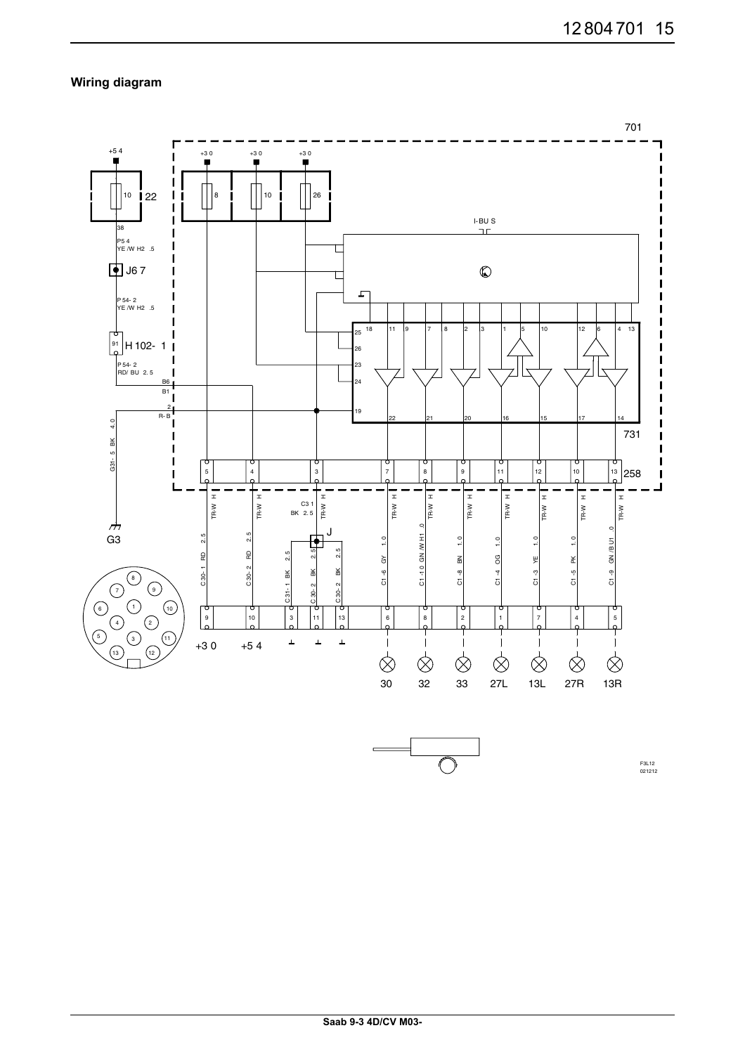### **Wiring diagram**



F3L12 021212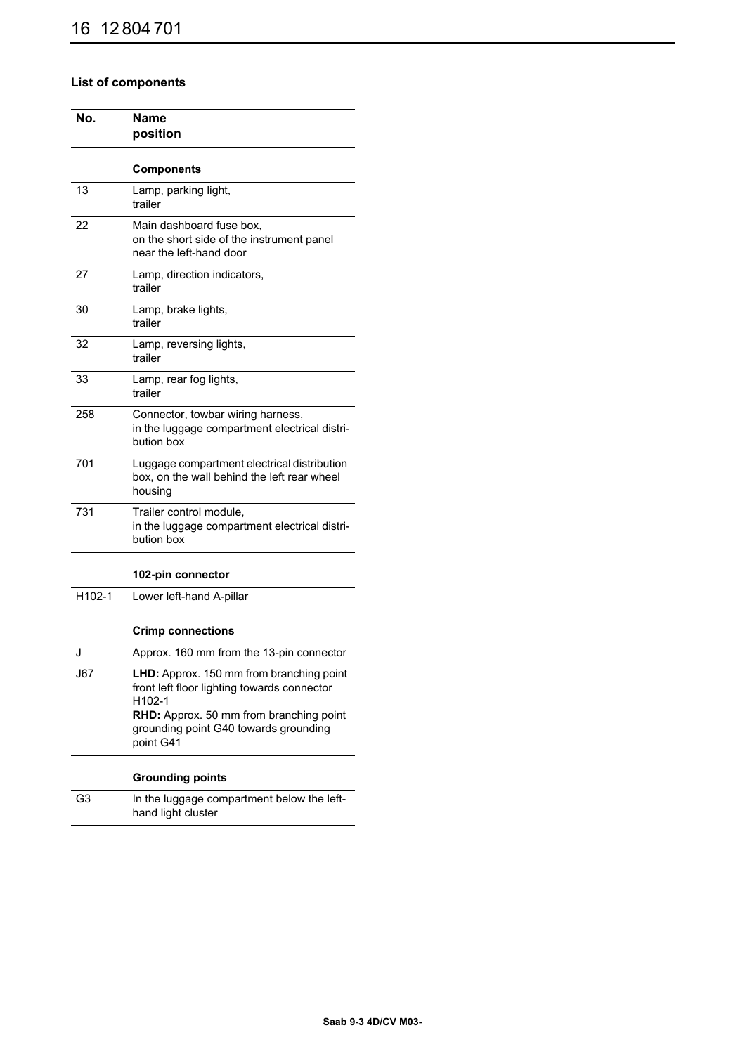## **List of components**

| No.    | Name<br>position                                                                                                                                                                                   |  |
|--------|----------------------------------------------------------------------------------------------------------------------------------------------------------------------------------------------------|--|
|        | <b>Components</b>                                                                                                                                                                                  |  |
| 13     | Lamp, parking light,<br>trailer                                                                                                                                                                    |  |
| 22     | Main dashboard fuse box,<br>on the short side of the instrument panel<br>near the left-hand door                                                                                                   |  |
| 27     | Lamp, direction indicators,<br>trailer                                                                                                                                                             |  |
| 30     | Lamp, brake lights,<br>trailer                                                                                                                                                                     |  |
| 32     | Lamp, reversing lights,<br>trailer                                                                                                                                                                 |  |
| 33     | Lamp, rear fog lights,<br>trailer                                                                                                                                                                  |  |
| 258    | Connector, towbar wiring harness,<br>in the luggage compartment electrical distri-<br>bution box                                                                                                   |  |
| 701    | Luggage compartment electrical distribution<br>box, on the wall behind the left rear wheel<br>housing                                                                                              |  |
| 731    | Trailer control module,<br>in the luggage compartment electrical distri-<br>bution box                                                                                                             |  |
|        | 102-pin connector                                                                                                                                                                                  |  |
| H102-1 | Lower left-hand A-pillar                                                                                                                                                                           |  |
|        | <b>Crimp connections</b>                                                                                                                                                                           |  |
| J      | Approx. 160 mm from the 13-pin connector                                                                                                                                                           |  |
| J67    | LHD: Approx. 150 mm from branching point<br>front left floor lighting towards connector<br>H102-1<br>RHD: Approx. 50 mm from branching point<br>grounding point G40 towards grounding<br>point G41 |  |
|        | <b>Grounding points</b>                                                                                                                                                                            |  |
| G3     | In the luggage compartment below the left-<br>hand light cluster                                                                                                                                   |  |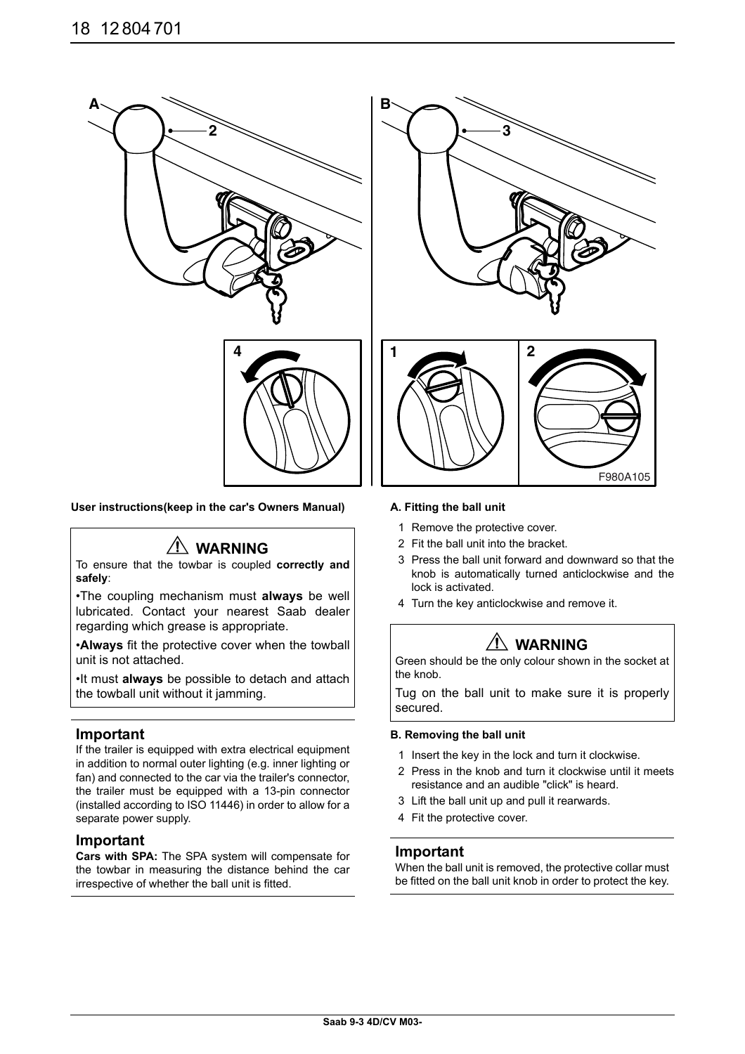

#### User instructions(keep in the car's Owners Manual) **A. Fitting the ball unit**

# **WARNING**

To ensure that the towbar is coupled **correctly and safely**:

•The coupling mechanism must **always** be well lubricated. Contact your nearest Saab dealer regarding which grease is appropriate.

•**Always** fit the protective cover when the towball unit is not attached.

•It must **always** be possible to detach and attach the towball unit without it jamming.

#### **Important**

If the trailer is equipped with extra electrical equipment in addition to normal outer lighting (e.g. inner lighting or fan) and connected to the car via the trailer's connector, the trailer must be equipped with a 13-pin connector (installed according to ISO 11446) in order to allow for a separate power supply.

#### **Important**

**Cars with SPA:** The SPA system will compensate for the towbar in measuring the distance behind the car irrespective of whether the ball unit is fitted.



- 1 Remove the protective cover.
- 2 Fit the ball unit into the bracket.
- 3 Press the ball unit forward and downward so that the knob is automatically turned anticlockwise and the lock is activated.

F980A105

4 Turn the key anticlockwise and remove it.

# **WARNING**

Green should be the only colour shown in the socket at the knob.

Tug on the ball unit to make sure it is properly secured.

#### **B. Removing the ball unit**

- 1 Insert the key in the lock and turn it clockwise.
- 2 Press in the knob and turn it clockwise until it meets resistance and an audible "click" is heard.
- 3 Lift the ball unit up and pull it rearwards.
- 4 Fit the protective cover.

#### **Important**

When the ball unit is removed, the protective collar must be fitted on the ball unit knob in order to protect the key.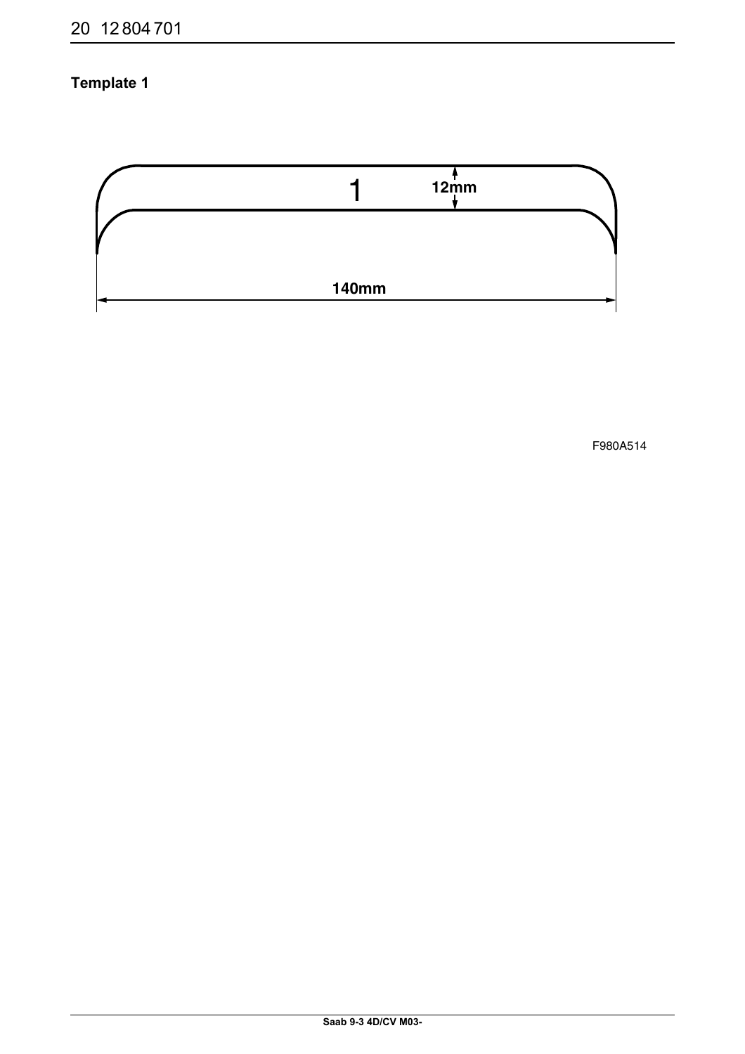# **Template 1**



F980A514